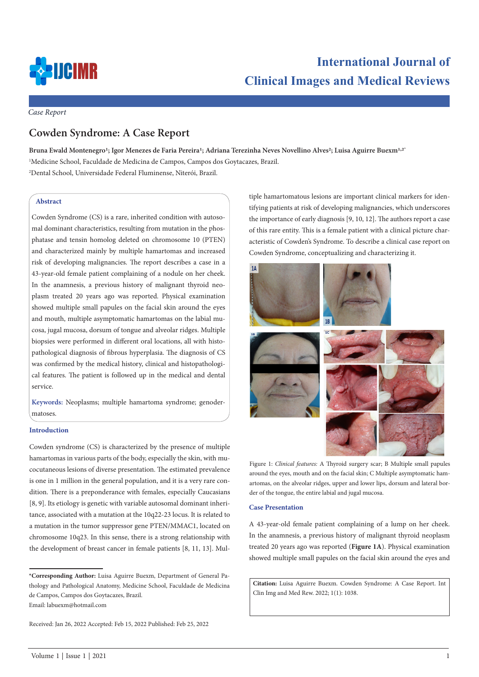

# **International Journal of Clinical Images and Medical Reviews**

*Case Report*

# **Cowden Syndrome: A Case Report**

Bruna Ewald Montenegro<sup>1</sup>; Igor Menezes de Faria Pereira<sup>1</sup>; Adriana Terezinha Neves Novellino Alves<sup>2</sup>; Luisa Aguirre Buexm<sup>1,2\*</sup> 1 Medicine School, Faculdade de Medicina de Campos, Campos dos Goytacazes, Brazil. 2 Dental School, Universidade Federal Fluminense, Niterói, Brazil.

# **Abstract**

Cowden Syndrome (CS) is a rare, inherited condition with autosomal dominant characteristics, resulting from mutation in the phosphatase and tensin homolog deleted on chromosome 10 (PTEN) and characterized mainly by multiple hamartomas and increased risk of developing malignancies. The report describes a case in a 43-year-old female patient complaining of a nodule on her cheek. In the anamnesis, a previous history of malignant thyroid neoplasm treated 20 years ago was reported. Physical examination showed multiple small papules on the facial skin around the eyes and mouth, multiple asymptomatic hamartomas on the labial mucosa, jugal mucosa, dorsum of tongue and alveolar ridges. Multiple biopsies were performed in different oral locations, all with histopathological diagnosis of fibrous hyperplasia. The diagnosis of CS was confirmed by the medical history, clinical and histopathological features. The patient is followed up in the medical and dental service.

**Keywords:** Neoplasms; multiple hamartoma syndrome; genodermatoses.

#### **Introduction**

Cowden syndrome (CS) is characterized by the presence of multiple hamartomas in various parts of the body, especially the skin, with mucocutaneous lesions of diverse presentation. The estimated prevalence is one in 1 million in the general population, and it is a very rare condition. There is a preponderance with females, especially Caucasians [8, 9]. Its etiology is genetic with variable autosomal dominant inheritance, associated with a mutation at the 10q22-23 locus. It is related to a mutation in the tumor suppressor gene PTEN/MMAC1, located on chromosome 10q23. In this sense, there is a strong relationship with the development of breast cancer in female patients [8, 11, 13]. Mul-

Email: labuexm@hotmail.com

tiple hamartomatous lesions are important clinical markers for identifying patients at risk of developing malignancies, which underscores the importance of early diagnosis [9, 10, 12]. The authors report a case of this rare entity. This is a female patient with a clinical picture characteristic of Cowden's Syndrome. To describe a clinical case report on Cowden Syndrome, conceptualizing and characterizing it.



Figure 1: *Clinical features:* A Thyroid surgery scar; B Multiple small papules around the eyes, mouth and on the facial skin; C Multiple asymptomatic hamartomas, on the alveolar ridges, upper and lower lips, dorsum and lateral border of the tongue, the entire labial and jugal mucosa.

#### **Case Presentation**

A 43-year-old female patient complaining of a lump on her cheek. In the anamnesis, a previous history of malignant thyroid neoplasm treated 20 years ago was reported (**Figure 1A**). Physical examination showed multiple small papules on the facial skin around the eyes and

**Citation:** Luisa Aguirre Buexm. Cowden Syndrome: A Case Report. Int Clin Img and Med Rew. 2022; 1(1): 1038.

**<sup>\*</sup>Corresponding Author:** Luisa Aguirre Buexm, Department of General Pathology and Pathological Anatomy, Medicine School, Faculdade de Medicina de Campos, Campos dos Goytacazes, Brazil.

Received: Jan 26, 2022 Accepted: Feb 15, 2022 Published: Feb 25, 2022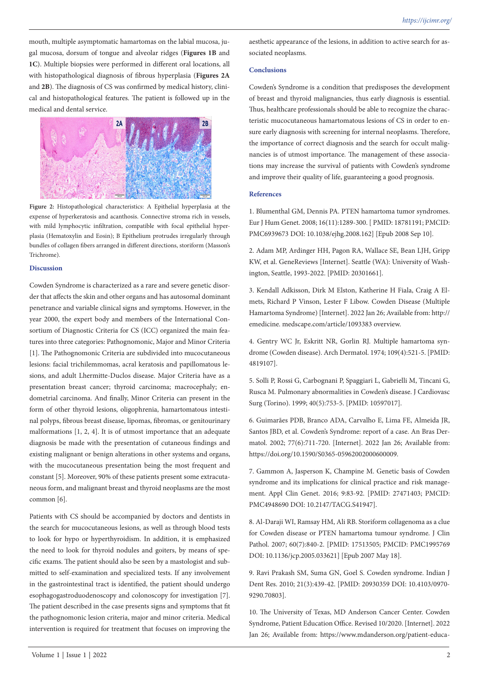mouth, multiple asymptomatic hamartomas on the labial mucosa, jugal mucosa, dorsum of tongue and alveolar ridges (**Figures 1B** and **1C**). Multiple biopsies were performed in different oral locations, all with histopathological diagnosis of fibrous hyperplasia (**Figures 2A** and **2B**). The diagnosis of CS was confirmed by medical history, clinical and histopathological features. The patient is followed up in the medical and dental service.



**Figure 2:** Histopathological characteristics: A Epithelial hyperplasia at the expense of hyperkeratosis and acanthosis. Connective stroma rich in vessels, with mild lymphocytic infiltration, compatible with focal epithelial hyperplasia (Hematoxylin and Eosin); B Epithelium protrudes irregularly through bundles of collagen fibers arranged in different directions, storiform (Masson's Trichrome).

### **Discussion**

Cowden Syndrome is characterized as a rare and severe genetic disorder that affects the skin and other organs and has autosomal dominant penetrance and variable clinical signs and symptoms. However, in the year 2000, the expert body and members of the International Consortium of Diagnostic Criteria for CS (ICC) organized the main features into three categories: Pathognomonic, Major and Minor Criteria [1]. The Pathognomonic Criteria are subdivided into mucocutaneous lesions: facial trichilemmomas, acral keratosis and papillomatous lesions, and adult Lhermitte-Duclos disease. Major Criteria have as a presentation breast cancer; thyroid carcinoma; macrocephaly; endometrial carcinoma. And finally, Minor Criteria can present in the form of other thyroid lesions, oligophrenia, hamartomatous intestinal polyps, fibrous breast disease, lipomas, fibromas, or genitourinary malformations [1, 2, 4]. It is of utmost importance that an adequate diagnosis be made with the presentation of cutaneous findings and existing malignant or benign alterations in other systems and organs, with the mucocutaneous presentation being the most frequent and constant [5]. Moreover, 90% of these patients present some extracutaneous form, and malignant breast and thyroid neoplasms are the most common [6].

Patients with CS should be accompanied by doctors and dentists in the search for mucocutaneous lesions, as well as through blood tests to look for hypo or hyperthyroidism. In addition, it is emphasized the need to look for thyroid nodules and goiters, by means of specific exams. The patient should also be seen by a mastologist and submitted to self-examination and specialized tests. If any involvement in the gastrointestinal tract is identified, the patient should undergo esophagogastroduodenoscopy and colonoscopy for investigation [7]. The patient described in the case presents signs and symptoms that fit the pathognomonic lesion criteria, major and minor criteria. Medical intervention is required for treatment that focuses on improving the aesthetic appearance of the lesions, in addition to active search for associated neoplasms.

## **Conclusions**

Cowden's Syndrome is a condition that predisposes the development of breast and thyroid malignancies, thus early diagnosis is essential. Thus, healthcare professionals should be able to recognize the characteristic mucocutaneous hamartomatous lesions of CS in order to ensure early diagnosis with screening for internal neoplasms. Therefore, the importance of correct diagnosis and the search for occult malignancies is of utmost importance. The management of these associations may increase the survival of patients with Cowden's syndrome and improve their quality of life, guaranteeing a good prognosis.

# **References**

1. Blumenthal GM, Dennis PA. PTEN hamartoma tumor syndromes. Eur J Hum Genet. 2008; 16(11):1289-300. [ PMID: 18781191; PMCID: PMC6939673 DOI: 10.1038/ejhg.2008.162] [Epub 2008 Sep 10].

2. Adam MP, Ardinger HH, Pagon RA, Wallace SE, Bean LJH, Gripp KW, et al. GeneReviews [Internet]. Seattle (WA): University of Washington, Seattle, 1993-2022. [PMID: 20301661].

3. Kendall Adkisson, Dirk M Elston, Katherine H Fiala, Craig A Elmets, Richard P Vinson, Lester F Libow. Cowden Disease (Multiple Hamartoma Syndrome) [Internet]. 2022 Jan 26; Available from: http:// emedicine. medscape.com/article/1093383 overview.

4. Gentry WC Jr, Eskritt NR, Gorlin RJ. Multiple hamartoma syndrome (Cowden disease). Arch Dermatol. 1974; 109(4):521-5. [PMID: 4819107].

5. Solli P, Rossi G, Carbognani P, Spaggiari L, Gabrielli M, Tincani G, Rusca M. Pulmonary abnormalities in Cowden's disease. J Cardiovasc Surg (Torino). 1999; 40(5):753-5. [PMID: 10597017].

6. Guimarães PDB, Branco ADA, Carvalho E, Lima FE, Almeida JR, Santos JBD, et al. Cowden's Syndrome: report of a case. An Bras Dermatol. 2002; 77(6):711-720. [Internet]. 2022 Jan 26; Available from: https://doi.org/10.1590/S0365-05962002000600009.

7. Gammon A, Jasperson K, Champine M. Genetic basis of Cowden syndrome and its implications for clinical practice and risk management. Appl Clin Genet. 2016; 9:83-92. [PMID: 27471403; PMCID: PMC4948690 DOI: 10.2147/TACG.S41947].

8. Al-Daraji WI, Ramsay HM, Ali RB. Storiform collagenoma as a clue for Cowden disease or PTEN hamartoma tumour syndrome. J Clin Pathol. 2007; 60(7):840-2. [PMID: 17513505; PMCID: PMC1995769 DOI: 10.1136/jcp.2005.033621] [Epub 2007 May 18].

9. Ravi Prakash SM, Suma GN, Goel S. Cowden syndrome. Indian J Dent Res. 2010; 21(3):439-42. [PMID: 20930359 DOI: 10.4103/0970- 9290.70803].

10. The University of Texas, MD Anderson Cancer Center. Cowden Syndrome, Patient Education Office. Revised 10/2020. [Internet]. 2022 Jan 26; Available from: https://www.mdanderson.org/patient-educa